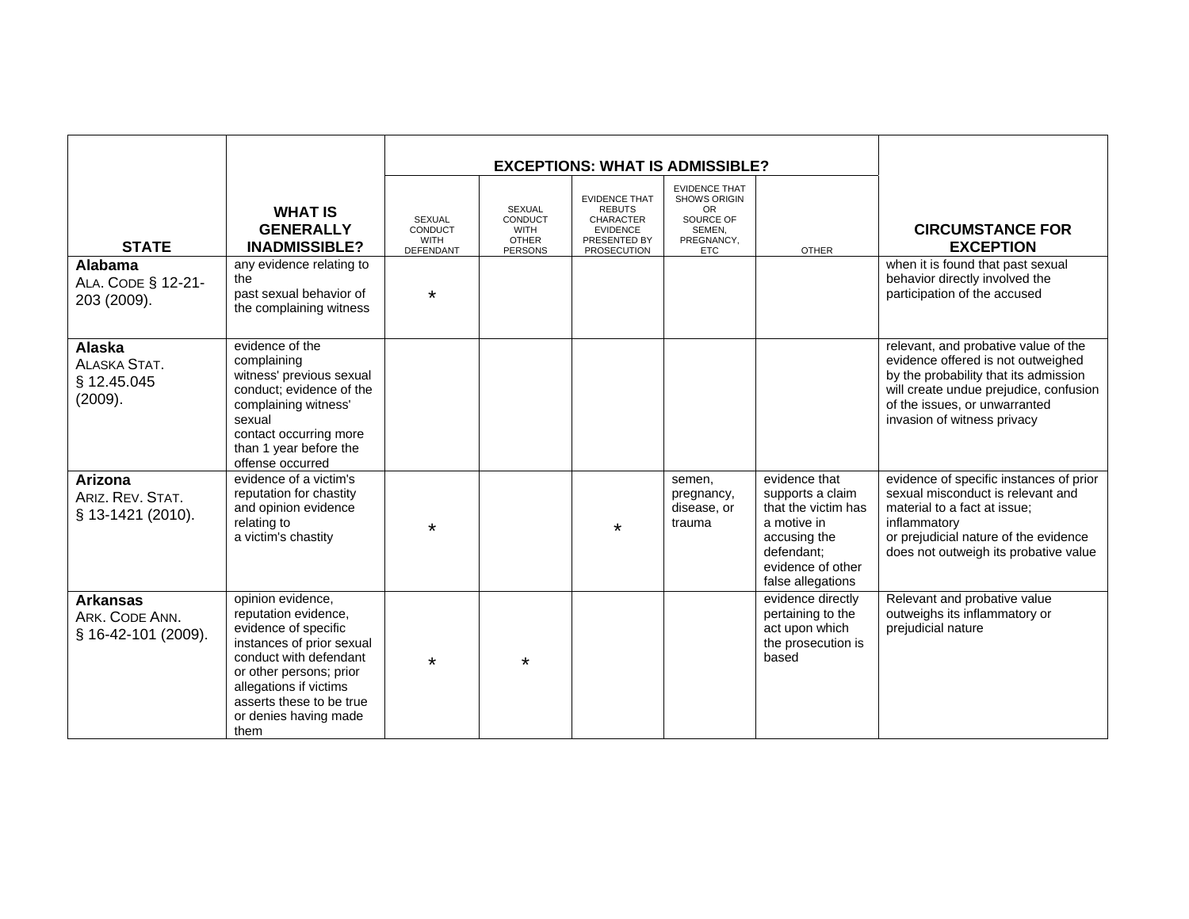| <b>STATE</b>                                             | <b>WHAT IS</b><br><b>GENERALLY</b><br><b>INADMISSIBLE?</b>                                                                                                                                                                                 | <b>SEXUAL</b><br>CONDUCT<br><b>WITH</b><br>DEFENDANT | <b>SEXUAL</b><br>CONDUCT<br><b>WITH</b><br><b>OTHER</b><br><b>PERSONS</b> | <b>EVIDENCE THAT</b><br><b>REBUTS</b><br><b>CHARACTER</b><br><b>EVIDENCE</b><br>PRESENTED BY<br><b>PROSECUTION</b> | <b>EXCEPTIONS: WHAT IS ADMISSIBLE?</b><br><b>EVIDENCE THAT</b><br><b>SHOWS ORIGIN</b><br>OR.<br>SOURCE OF<br>SEMEN,<br>PREGNANCY,<br><b>ETC</b> | <b>OTHER</b>                                                                                                                                    | <b>CIRCUMSTANCE FOR</b><br><b>EXCEPTION</b>                                                                                                                                                                                   |
|----------------------------------------------------------|--------------------------------------------------------------------------------------------------------------------------------------------------------------------------------------------------------------------------------------------|------------------------------------------------------|---------------------------------------------------------------------------|--------------------------------------------------------------------------------------------------------------------|-------------------------------------------------------------------------------------------------------------------------------------------------|-------------------------------------------------------------------------------------------------------------------------------------------------|-------------------------------------------------------------------------------------------------------------------------------------------------------------------------------------------------------------------------------|
| <b>Alabama</b><br>ALA. CODE § 12-21-<br>203 (2009).      | any evidence relating to<br>the<br>past sexual behavior of<br>the complaining witness                                                                                                                                                      | $\star$                                              |                                                                           |                                                                                                                    |                                                                                                                                                 |                                                                                                                                                 | when it is found that past sexual<br>behavior directly involved the<br>participation of the accused                                                                                                                           |
| Alaska<br><b>ALASKA STAT.</b><br>§ 12.45.045<br>(2009).  | evidence of the<br>complaining<br>witness' previous sexual<br>conduct; evidence of the<br>complaining witness'<br>sexual<br>contact occurring more<br>than 1 year before the<br>offense occurred                                           |                                                      |                                                                           |                                                                                                                    |                                                                                                                                                 |                                                                                                                                                 | relevant, and probative value of the<br>evidence offered is not outweighed<br>by the probability that its admission<br>will create undue prejudice, confusion<br>of the issues, or unwarranted<br>invasion of witness privacy |
| Arizona<br>ARIZ. REV. STAT.<br>§ 13-1421 (2010).         | evidence of a victim's<br>reputation for chastity<br>and opinion evidence<br>relating to<br>a victim's chastity                                                                                                                            | $\star$                                              |                                                                           | $\star$                                                                                                            | semen,<br>pregnancy,<br>disease, or<br>trauma                                                                                                   | evidence that<br>supports a claim<br>that the victim has<br>a motive in<br>accusing the<br>defendant;<br>evidence of other<br>false allegations | evidence of specific instances of prior<br>sexual misconduct is relevant and<br>material to a fact at issue;<br>inflammatory<br>or prejudicial nature of the evidence<br>does not outweigh its probative value                |
| <b>Arkansas</b><br>ARK. CODE ANN.<br>§ 16-42-101 (2009). | opinion evidence,<br>reputation evidence,<br>evidence of specific<br>instances of prior sexual<br>conduct with defendant<br>or other persons; prior<br>allegations if victims<br>asserts these to be true<br>or denies having made<br>them | $\star$                                              | $\star$                                                                   |                                                                                                                    |                                                                                                                                                 | evidence directly<br>pertaining to the<br>act upon which<br>the prosecution is<br>based                                                         | Relevant and probative value<br>outweighs its inflammatory or<br>prejudicial nature                                                                                                                                           |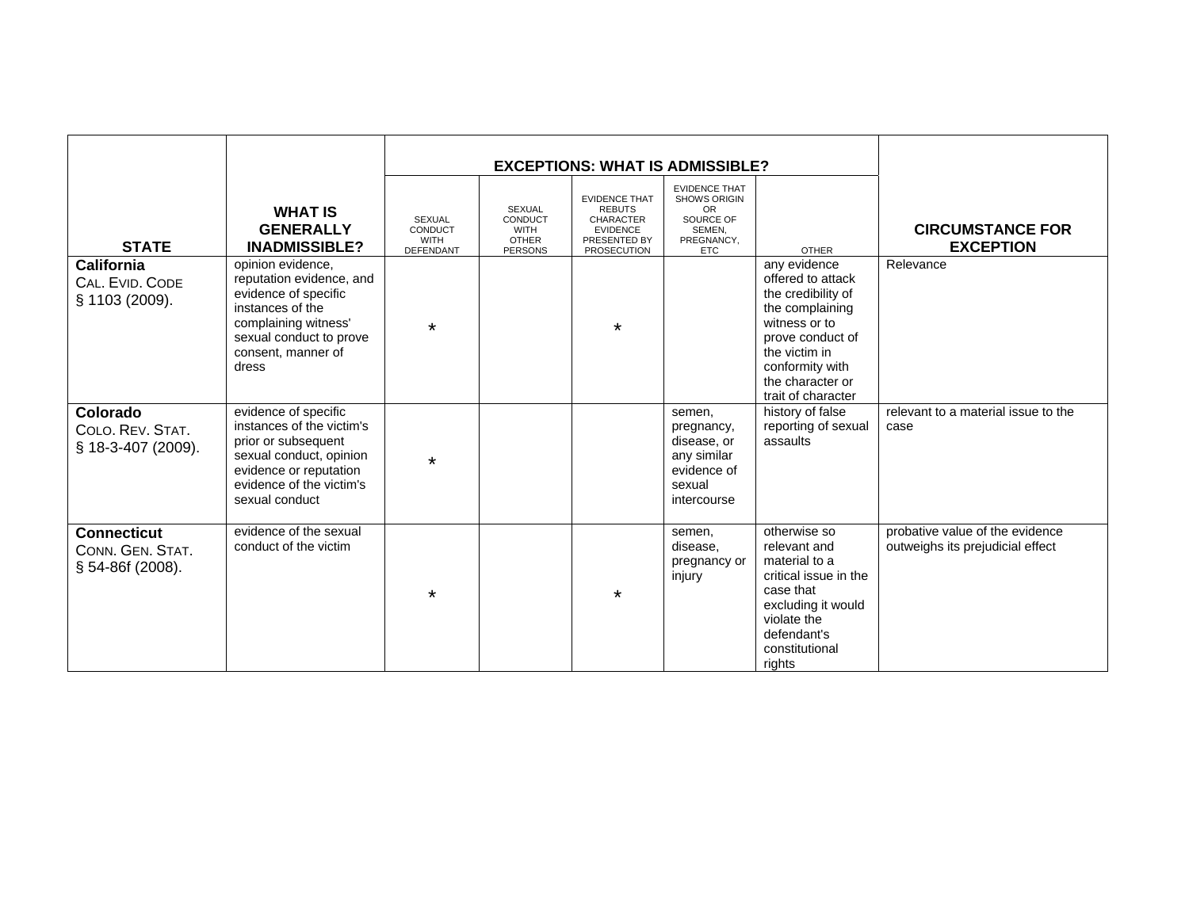|                                                            |                                                                                                                                                                             |                                               |                                                                           | <b>EXCEPTIONS: WHAT IS ADMISSIBLE?</b>                                                                      |                                                                                                       |                                                                                                                                                                                               |                                                                     |
|------------------------------------------------------------|-----------------------------------------------------------------------------------------------------------------------------------------------------------------------------|-----------------------------------------------|---------------------------------------------------------------------------|-------------------------------------------------------------------------------------------------------------|-------------------------------------------------------------------------------------------------------|-----------------------------------------------------------------------------------------------------------------------------------------------------------------------------------------------|---------------------------------------------------------------------|
| <b>STATE</b>                                               | <b>WHAT IS</b><br><b>GENERALLY</b><br><b>INADMISSIBLE?</b>                                                                                                                  | <b>SEXUAL</b><br>CONDUCT<br>WITH<br>DEFENDANT | <b>SEXUAL</b><br>CONDUCT<br><b>WITH</b><br><b>OTHER</b><br><b>PERSONS</b> | <b>EVIDENCE THAT</b><br><b>REBUTS</b><br><b>CHARACTER</b><br><b>EVIDENCE</b><br>PRESENTED BY<br>PROSECUTION | <b>EVIDENCE THAT</b><br><b>SHOWS ORIGIN</b><br>OR.<br>SOURCE OF<br>SEMEN.<br>PREGNANCY,<br><b>ETC</b> | <b>OTHER</b>                                                                                                                                                                                  | <b>CIRCUMSTANCE FOR</b><br><b>EXCEPTION</b>                         |
| California<br>CAL. EVID. CODE<br>§ 1103 (2009).            | opinion evidence,<br>reputation evidence, and<br>evidence of specific<br>instances of the<br>complaining witness'<br>sexual conduct to prove<br>consent, manner of<br>dress | $\star$                                       |                                                                           | $\star$                                                                                                     |                                                                                                       | any evidence<br>offered to attack<br>the credibility of<br>the complaining<br>witness or to<br>prove conduct of<br>the victim in<br>conformity with<br>the character or<br>trait of character | Relevance                                                           |
| Colorado<br>COLO. REV. STAT.<br>§ 18-3-407 (2009).         | evidence of specific<br>instances of the victim's<br>prior or subsequent<br>sexual conduct, opinion<br>evidence or reputation<br>evidence of the victim's<br>sexual conduct | $\star$                                       |                                                                           |                                                                                                             | semen,<br>pregnancy,<br>disease, or<br>any similar<br>evidence of<br>sexual<br>intercourse            | history of false<br>reporting of sexual<br>assaults                                                                                                                                           | relevant to a material issue to the<br>case                         |
| <b>Connecticut</b><br>CONN. GEN. STAT.<br>§ 54-86f (2008). | evidence of the sexual<br>conduct of the victim                                                                                                                             | *                                             |                                                                           | $\star$                                                                                                     | semen,<br>disease,<br>pregnancy or<br>injury                                                          | otherwise so<br>relevant and<br>material to a<br>critical issue in the<br>case that<br>excluding it would<br>violate the<br>defendant's<br>constitutional<br>rights                           | probative value of the evidence<br>outweighs its prejudicial effect |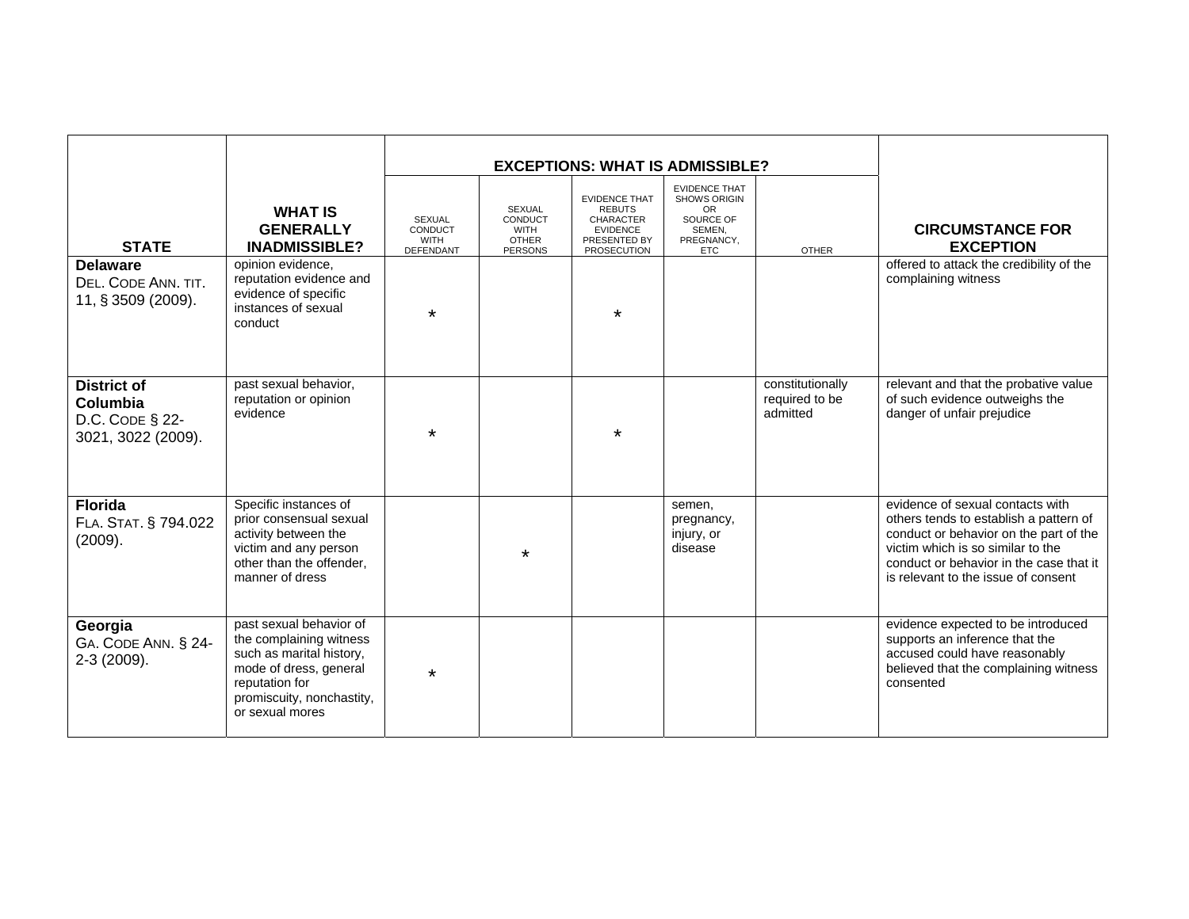|                                                                         |                                                                                                                                                                            |                                                      | <b>EXCEPTIONS: WHAT IS ADMISSIBLE?</b>                             |                                                                                                                    |                                                                                                             |                                                |                                                                                                                                                                                                                                             |
|-------------------------------------------------------------------------|----------------------------------------------------------------------------------------------------------------------------------------------------------------------------|------------------------------------------------------|--------------------------------------------------------------------|--------------------------------------------------------------------------------------------------------------------|-------------------------------------------------------------------------------------------------------------|------------------------------------------------|---------------------------------------------------------------------------------------------------------------------------------------------------------------------------------------------------------------------------------------------|
| <b>STATE</b>                                                            | <b>WHAT IS</b><br><b>GENERALLY</b><br><b>INADMISSIBLE?</b>                                                                                                                 | <b>SEXUAL</b><br>CONDUCT<br><b>WITH</b><br>DEFENDANT | SEXUAL<br>CONDUCT<br><b>WITH</b><br><b>OTHER</b><br><b>PERSONS</b> | <b>EVIDENCE THAT</b><br><b>REBUTS</b><br><b>CHARACTER</b><br><b>EVIDENCE</b><br>PRESENTED BY<br><b>PROSECUTION</b> | <b>EVIDENCE THAT</b><br><b>SHOWS ORIGIN</b><br><b>OR</b><br>SOURCE OF<br>SEMEN,<br>PREGNANCY,<br><b>ETC</b> | <b>OTHER</b>                                   | <b>CIRCUMSTANCE FOR</b><br><b>EXCEPTION</b>                                                                                                                                                                                                 |
| <b>Delaware</b><br>DEL. CODE ANN. TIT.<br>11, § 3509 (2009).            | opinion evidence,<br>reputation evidence and<br>evidence of specific<br>instances of sexual<br>conduct                                                                     | $\star$                                              |                                                                    | $\star$                                                                                                            |                                                                                                             |                                                | offered to attack the credibility of the<br>complaining witness                                                                                                                                                                             |
| <b>District of</b><br>Columbia<br>D.C. CODE § 22-<br>3021, 3022 (2009). | past sexual behavior,<br>reputation or opinion<br>evidence                                                                                                                 | *                                                    |                                                                    | $\star$                                                                                                            |                                                                                                             | constitutionally<br>required to be<br>admitted | relevant and that the probative value<br>of such evidence outweighs the<br>danger of unfair prejudice                                                                                                                                       |
| <b>Florida</b><br>FLA. STAT. § 794.022<br>(2009).                       | Specific instances of<br>prior consensual sexual<br>activity between the<br>victim and any person<br>other than the offender,<br>manner of dress                           |                                                      |                                                                    |                                                                                                                    | semen,<br>pregnancy,<br>injury, or<br>disease                                                               |                                                | evidence of sexual contacts with<br>others tends to establish a pattern of<br>conduct or behavior on the part of the<br>victim which is so similar to the<br>conduct or behavior in the case that it<br>is relevant to the issue of consent |
| Georgia<br>GA. CODE ANN. § 24-<br>2-3 (2009).                           | past sexual behavior of<br>the complaining witness<br>such as marital history,<br>mode of dress, general<br>reputation for<br>promiscuity, nonchastity,<br>or sexual mores | $\star$                                              |                                                                    |                                                                                                                    |                                                                                                             |                                                | evidence expected to be introduced<br>supports an inference that the<br>accused could have reasonably<br>believed that the complaining witness<br>consented                                                                                 |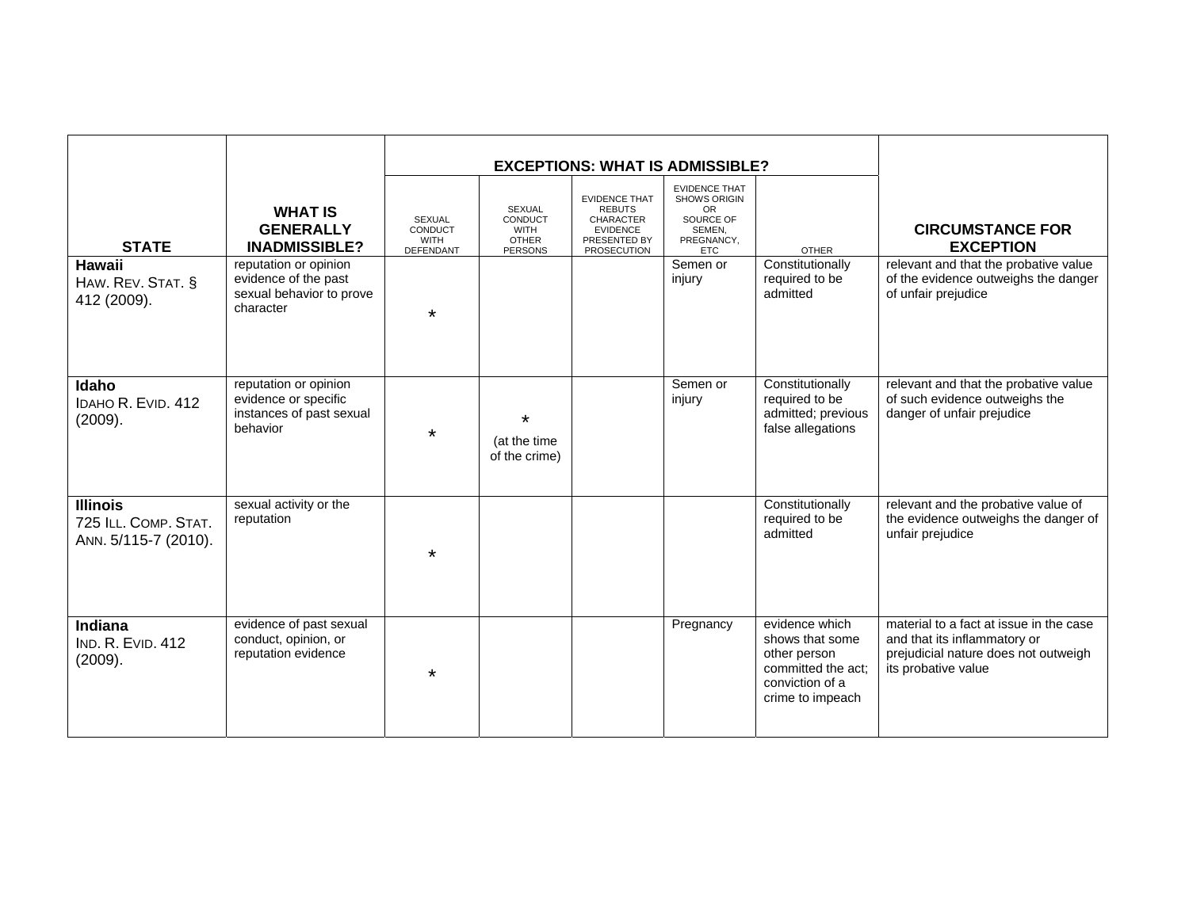|                                                                 |                                                                                        |                                               | <b>EXCEPTIONS: WHAT IS ADMISSIBLE?</b>                             |                                                                                                             |                                                                                                      |                                                                                                                |                                                                                                                                        |
|-----------------------------------------------------------------|----------------------------------------------------------------------------------------|-----------------------------------------------|--------------------------------------------------------------------|-------------------------------------------------------------------------------------------------------------|------------------------------------------------------------------------------------------------------|----------------------------------------------------------------------------------------------------------------|----------------------------------------------------------------------------------------------------------------------------------------|
| <b>STATE</b>                                                    | <b>WHAT IS</b><br><b>GENERALLY</b><br><b>INADMISSIBLE?</b>                             | SEXUAL<br>CONDUCT<br><b>WITH</b><br>DEFENDANT | SEXUAL<br>CONDUCT<br><b>WITH</b><br><b>OTHER</b><br><b>PERSONS</b> | <b>EVIDENCE THAT</b><br><b>REBUTS</b><br><b>CHARACTER</b><br><b>EVIDENCE</b><br>PRESENTED BY<br>PROSECUTION | <b>EVIDENCE THAT</b><br>SHOWS ORIGIN<br><b>OR</b><br>SOURCE OF<br>SEMEN.<br>PREGNANCY,<br><b>ETC</b> | <b>OTHER</b>                                                                                                   | <b>CIRCUMSTANCE FOR</b><br><b>EXCEPTION</b>                                                                                            |
| <b>Hawaii</b><br>HAW. REV. STAT. §<br>412 (2009).               | reputation or opinion<br>evidence of the past<br>sexual behavior to prove<br>character | $\star$                                       |                                                                    |                                                                                                             | Semen or<br>injury                                                                                   | Constitutionally<br>required to be<br>admitted                                                                 | relevant and that the probative value<br>of the evidence outweighs the danger<br>of unfair prejudice                                   |
| Idaho<br>IDAHO R. EVID. 412<br>(2009).                          | reputation or opinion<br>evidence or specific<br>instances of past sexual<br>behavior  | $\star$                                       | $\star$<br>(at the time<br>of the crime)                           |                                                                                                             | Semen or<br>injury                                                                                   | Constitutionally<br>required to be<br>admitted; previous<br>false allegations                                  | relevant and that the probative value<br>of such evidence outweighs the<br>danger of unfair prejudice                                  |
| <b>Illinois</b><br>725 ILL. COMP. STAT.<br>ANN. 5/115-7 (2010). | sexual activity or the<br>reputation                                                   | *                                             |                                                                    |                                                                                                             |                                                                                                      | Constitutionally<br>required to be<br>admitted                                                                 | relevant and the probative value of<br>the evidence outweighs the danger of<br>unfair prejudice                                        |
| <b>Indiana</b><br><b>IND. R. EVID. 412</b><br>(2009).           | evidence of past sexual<br>conduct, opinion, or<br>reputation evidence                 | $\star$                                       |                                                                    |                                                                                                             | Pregnancy                                                                                            | evidence which<br>shows that some<br>other person<br>committed the act:<br>conviction of a<br>crime to impeach | material to a fact at issue in the case<br>and that its inflammatory or<br>prejudicial nature does not outweigh<br>its probative value |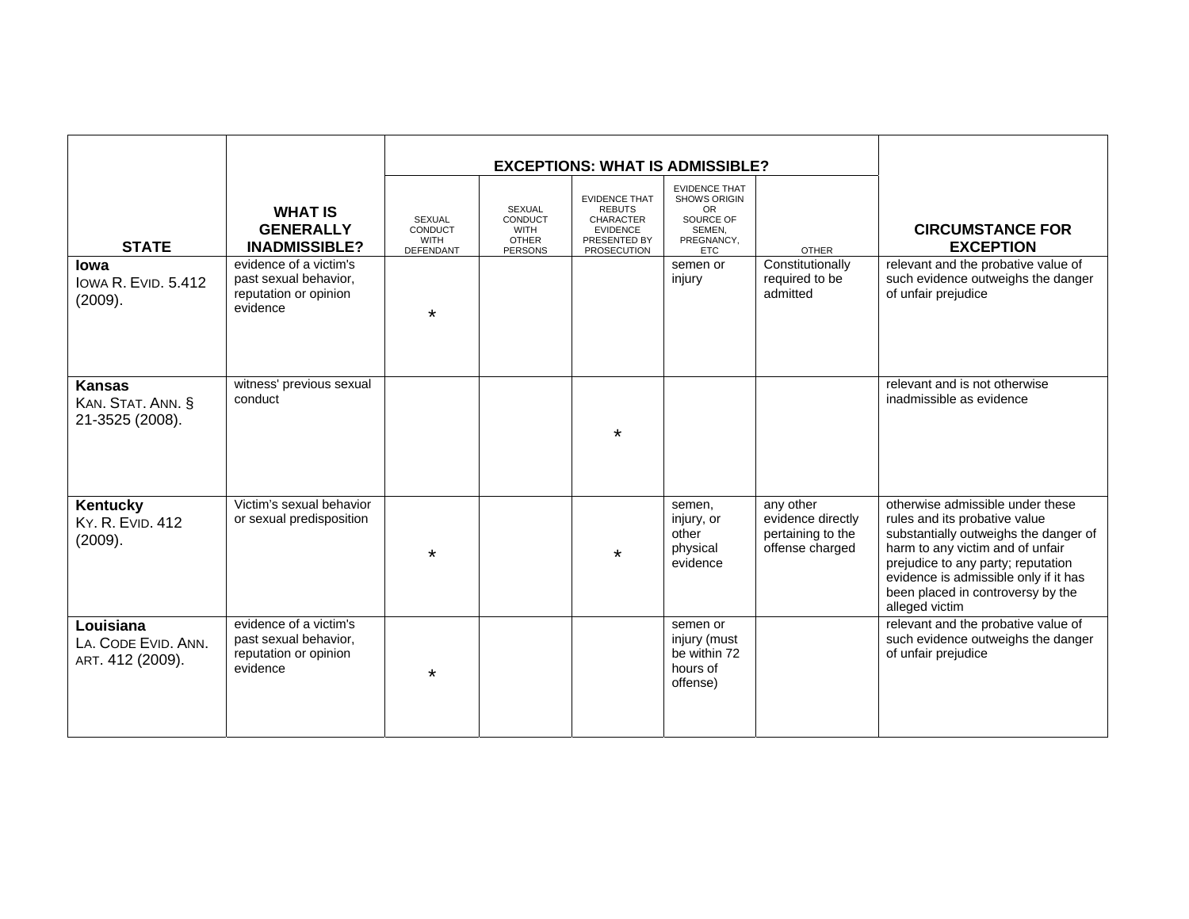| <b>STATE</b><br>lowa<br><b>IOWA R. EVID. 5.412</b><br>(2009). | <b>WHAT IS</b><br><b>GENERALLY</b><br><b>INADMISSIBLE?</b><br>evidence of a victim's<br>past sexual behavior,<br>reputation or opinion<br>evidence | <b>SEXUAL</b><br>CONDUCT<br><b>WITH</b><br>DEFENDANT<br>$\star$ | SEXUAL<br>CONDUCT<br><b>WITH</b><br><b>OTHER</b><br><b>PERSONS</b> | <b>EVIDENCE THAT</b><br><b>REBUTS</b><br><b>CHARACTER</b><br><b>EVIDENCE</b><br>PRESENTED BY<br><b>PROSECUTION</b> | <b>EXCEPTIONS: WHAT IS ADMISSIBLE?</b><br><b>EVIDENCE THAT</b><br>SHOWS ORIGIN<br><b>OR</b><br>SOURCE OF<br>SEMEN,<br>PREGNANCY,<br><b>ETC</b><br>semen or<br>injury | <b>OTHER</b><br>Constitutionally<br>required to be<br>admitted         | <b>CIRCUMSTANCE FOR</b><br><b>EXCEPTION</b><br>relevant and the probative value of<br>such evidence outweighs the danger<br>of unfair prejudice                                                                                                                                      |
|---------------------------------------------------------------|----------------------------------------------------------------------------------------------------------------------------------------------------|-----------------------------------------------------------------|--------------------------------------------------------------------|--------------------------------------------------------------------------------------------------------------------|----------------------------------------------------------------------------------------------------------------------------------------------------------------------|------------------------------------------------------------------------|--------------------------------------------------------------------------------------------------------------------------------------------------------------------------------------------------------------------------------------------------------------------------------------|
| <b>Kansas</b><br>KAN. STAT. ANN. §<br>21-3525 (2008).         | witness' previous sexual<br>conduct                                                                                                                |                                                                 |                                                                    | $\star$                                                                                                            |                                                                                                                                                                      |                                                                        | relevant and is not otherwise<br>inadmissible as evidence                                                                                                                                                                                                                            |
| Kentucky<br><b>KY. R. EVID. 412</b><br>(2009).                | Victim's sexual behavior<br>or sexual predisposition                                                                                               | $\star$                                                         |                                                                    | *                                                                                                                  | semen,<br>injury, or<br>other<br>physical<br>evidence                                                                                                                | any other<br>evidence directly<br>pertaining to the<br>offense charged | otherwise admissible under these<br>rules and its probative value<br>substantially outweighs the danger of<br>harm to any victim and of unfair<br>prejudice to any party; reputation<br>evidence is admissible only if it has<br>been placed in controversy by the<br>alleged victim |
| Louisiana<br>LA. CODE EVID. ANN.<br>ART. 412 (2009).          | evidence of a victim's<br>past sexual behavior,<br>reputation or opinion<br>evidence                                                               | $\star$                                                         |                                                                    |                                                                                                                    | semen or<br>injury (must<br>be within 72<br>hours of<br>offense)                                                                                                     |                                                                        | relevant and the probative value of<br>such evidence outweighs the danger<br>of unfair prejudice                                                                                                                                                                                     |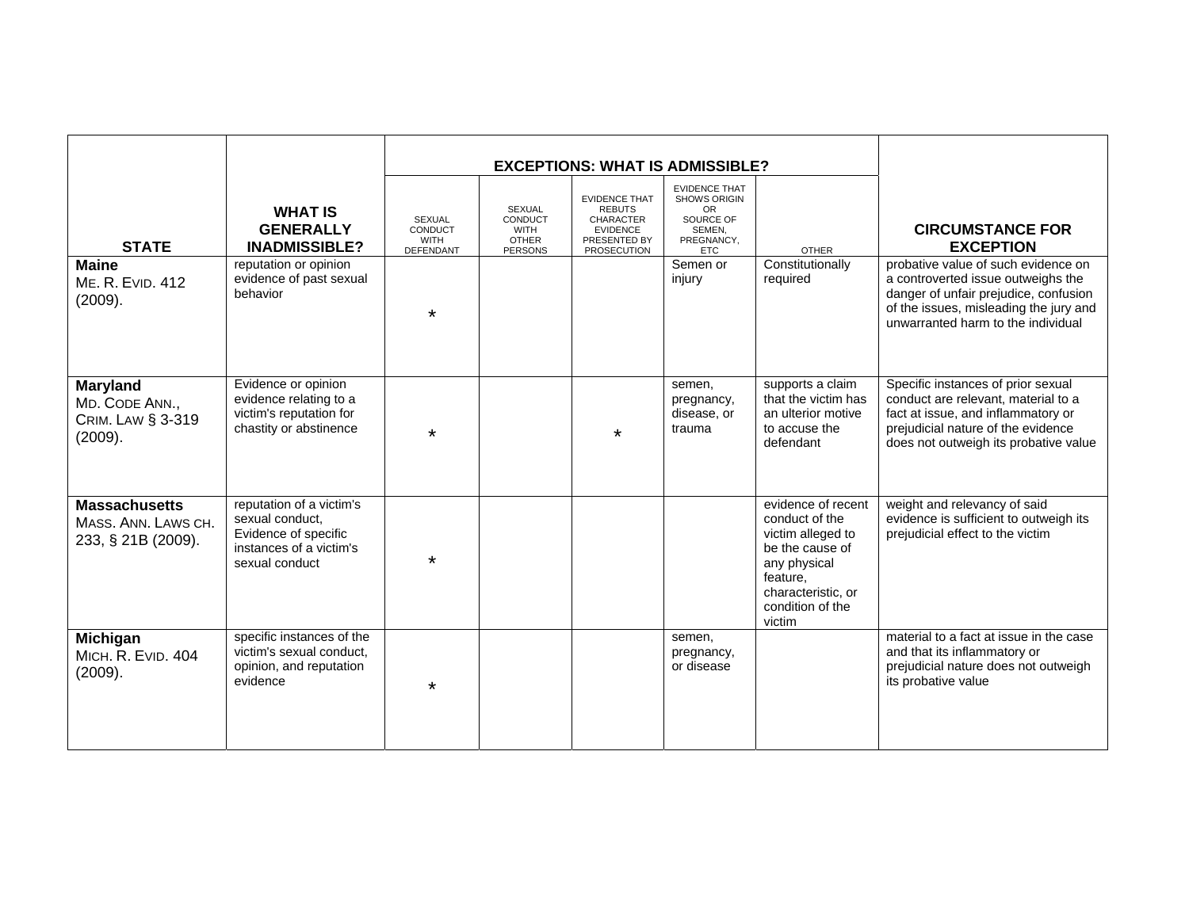| <b>STATE</b><br><b>Maine</b><br>ME. R. EVID. 412<br>(2009).              | <b>WHAT IS</b><br><b>GENERALLY</b><br><b>INADMISSIBLE?</b><br>reputation or opinion<br>evidence of past sexual<br>behavior | <b>SEXUAL</b><br>CONDUCT<br><b>WITH</b><br>DEFENDANT<br>$\ast$ | SEXUAL<br>CONDUCT<br><b>WITH</b><br><b>OTHER</b><br><b>PERSONS</b> | <b>EXCEPTIONS: WHAT IS ADMISSIBLE?</b><br><b>EVIDENCE THAT</b><br><b>REBUTS</b><br><b>CHARACTER</b><br><b>EVIDENCE</b><br>PRESENTED BY<br><b>PROSECUTION</b> | <b>EVIDENCE THAT</b><br><b>SHOWS ORIGIN</b><br>OR.<br>SOURCE OF<br>SEMEN,<br>PREGNANCY,<br><b>ETC</b><br>Semen or<br>injury | <b>OTHER</b><br>Constitutionally<br>required                                                                                                                 | <b>CIRCUMSTANCE FOR</b><br><b>EXCEPTION</b><br>probative value of such evidence on<br>a controverted issue outweighs the<br>danger of unfair prejudice, confusion<br>of the issues, misleading the jury and<br>unwarranted harm to the individual |
|--------------------------------------------------------------------------|----------------------------------------------------------------------------------------------------------------------------|----------------------------------------------------------------|--------------------------------------------------------------------|--------------------------------------------------------------------------------------------------------------------------------------------------------------|-----------------------------------------------------------------------------------------------------------------------------|--------------------------------------------------------------------------------------------------------------------------------------------------------------|---------------------------------------------------------------------------------------------------------------------------------------------------------------------------------------------------------------------------------------------------|
| <b>Maryland</b><br>MD. CODE ANN.,<br><b>CRIM. LAW § 3-319</b><br>(2009). | Evidence or opinion<br>evidence relating to a<br>victim's reputation for<br>chastity or abstinence                         | $\star$                                                        |                                                                    | $\star$                                                                                                                                                      | semen,<br>pregnancy,<br>disease, or<br>trauma                                                                               | supports a claim<br>that the victim has<br>an ulterior motive<br>to accuse the<br>defendant                                                                  | Specific instances of prior sexual<br>conduct are relevant, material to a<br>fact at issue, and inflammatory or<br>prejudicial nature of the evidence<br>does not outweigh its probative value                                                    |
| <b>Massachusetts</b><br>MASS, ANN. LAWS CH.<br>233, § 21B (2009).        | reputation of a victim's<br>sexual conduct.<br>Evidence of specific<br>instances of a victim's<br>sexual conduct           | $\star$                                                        |                                                                    |                                                                                                                                                              |                                                                                                                             | evidence of recent<br>conduct of the<br>victim alleged to<br>be the cause of<br>any physical<br>feature,<br>characteristic, or<br>condition of the<br>victim | weight and relevancy of said<br>evidence is sufficient to outweigh its<br>prejudicial effect to the victim                                                                                                                                        |
| Michigan<br>MICH. R. EVID. 404<br>(2009).                                | specific instances of the<br>victim's sexual conduct,<br>opinion, and reputation<br>evidence                               | $\star$                                                        |                                                                    |                                                                                                                                                              | semen,<br>pregnancy,<br>or disease                                                                                          |                                                                                                                                                              | material to a fact at issue in the case<br>and that its inflammatory or<br>prejudicial nature does not outweigh<br>its probative value                                                                                                            |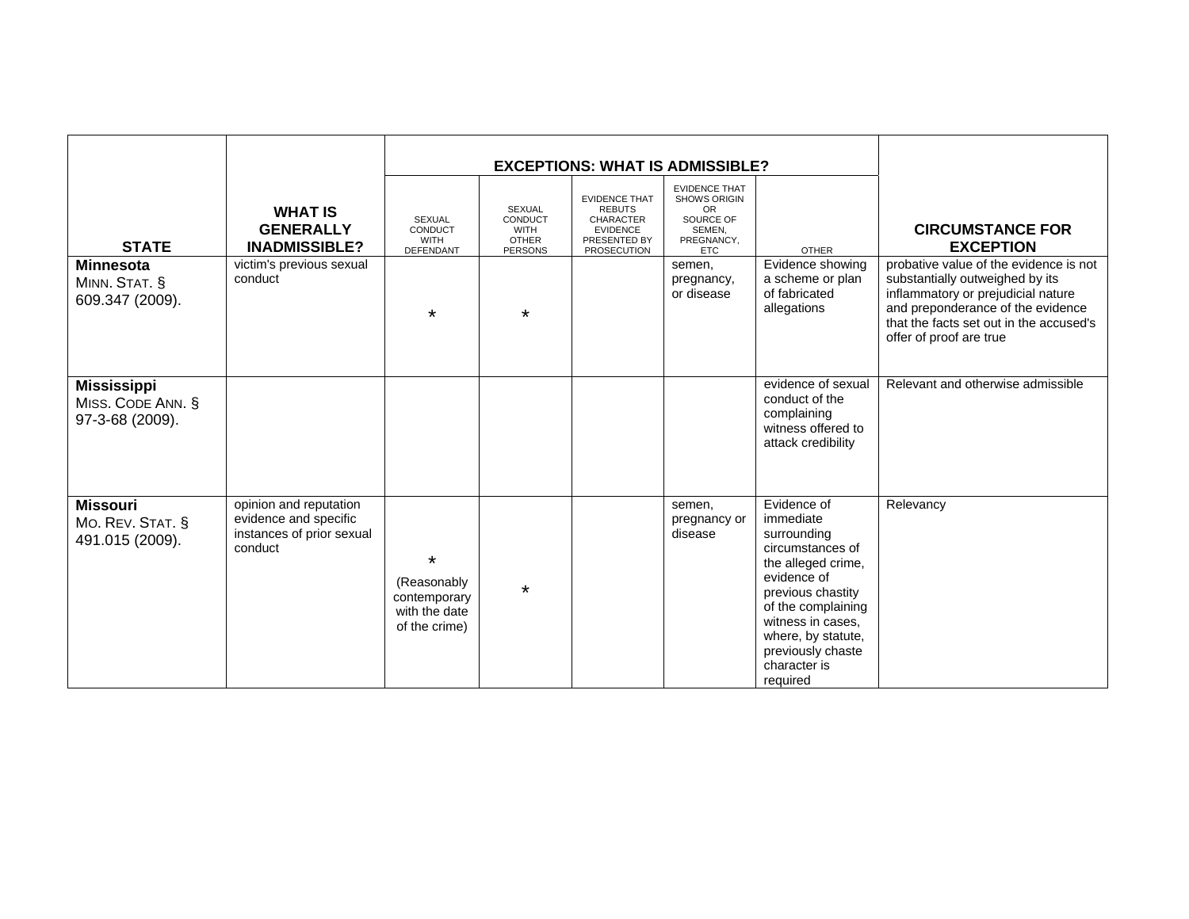|                                                            |                                                                                         |                                                                          |                                                                    | <b>EXCEPTIONS: WHAT IS ADMISSIBLE?</b>                                                                      |                                                                                                      |                                                                                                                                                                                                                                         |                                                                                                                                                                                                                            |
|------------------------------------------------------------|-----------------------------------------------------------------------------------------|--------------------------------------------------------------------------|--------------------------------------------------------------------|-------------------------------------------------------------------------------------------------------------|------------------------------------------------------------------------------------------------------|-----------------------------------------------------------------------------------------------------------------------------------------------------------------------------------------------------------------------------------------|----------------------------------------------------------------------------------------------------------------------------------------------------------------------------------------------------------------------------|
| <b>STATE</b>                                               | <b>WHAT IS</b><br><b>GENERALLY</b><br><b>INADMISSIBLE?</b>                              | <b>SEXUAL</b><br>CONDUCT<br><b>WITH</b><br>DEFENDANT                     | SEXUAL<br>CONDUCT<br><b>WITH</b><br><b>OTHER</b><br><b>PERSONS</b> | <b>EVIDENCE THAT</b><br><b>REBUTS</b><br><b>CHARACTER</b><br><b>EVIDENCE</b><br>PRESENTED BY<br>PROSECUTION | <b>EVIDENCE THAT</b><br><b>SHOWS ORIGIN</b><br>OR<br>SOURCE OF<br>SEMEN,<br>PREGNANCY,<br><b>ETC</b> | <b>OTHER</b>                                                                                                                                                                                                                            | <b>CIRCUMSTANCE FOR</b><br><b>EXCEPTION</b>                                                                                                                                                                                |
| <b>Minnesota</b><br>MINN. STAT. §<br>609.347 (2009).       | victim's previous sexual<br>conduct                                                     | $\star$                                                                  | $\star$                                                            |                                                                                                             | semen,<br>pregnancy,<br>or disease                                                                   | Evidence showing<br>a scheme or plan<br>of fabricated<br>allegations                                                                                                                                                                    | probative value of the evidence is not<br>substantially outweighed by its<br>inflammatory or prejudicial nature<br>and preponderance of the evidence<br>that the facts set out in the accused's<br>offer of proof are true |
| <b>Mississippi</b><br>MISS. CODE ANN. §<br>97-3-68 (2009). |                                                                                         |                                                                          |                                                                    |                                                                                                             |                                                                                                      | evidence of sexual<br>conduct of the<br>complaining<br>witness offered to<br>attack credibility                                                                                                                                         | Relevant and otherwise admissible                                                                                                                                                                                          |
| <b>Missouri</b><br>MO. REV. STAT. §<br>491.015 (2009).     | opinion and reputation<br>evidence and specific<br>instances of prior sexual<br>conduct | $\star$<br>(Reasonably<br>contemporary<br>with the date<br>of the crime) | $\star$                                                            |                                                                                                             | semen,<br>pregnancy or<br>disease                                                                    | Evidence of<br>immediate<br>surrounding<br>circumstances of<br>the alleged crime,<br>evidence of<br>previous chastity<br>of the complaining<br>witness in cases.<br>where, by statute,<br>previously chaste<br>character is<br>required | Relevancy                                                                                                                                                                                                                  |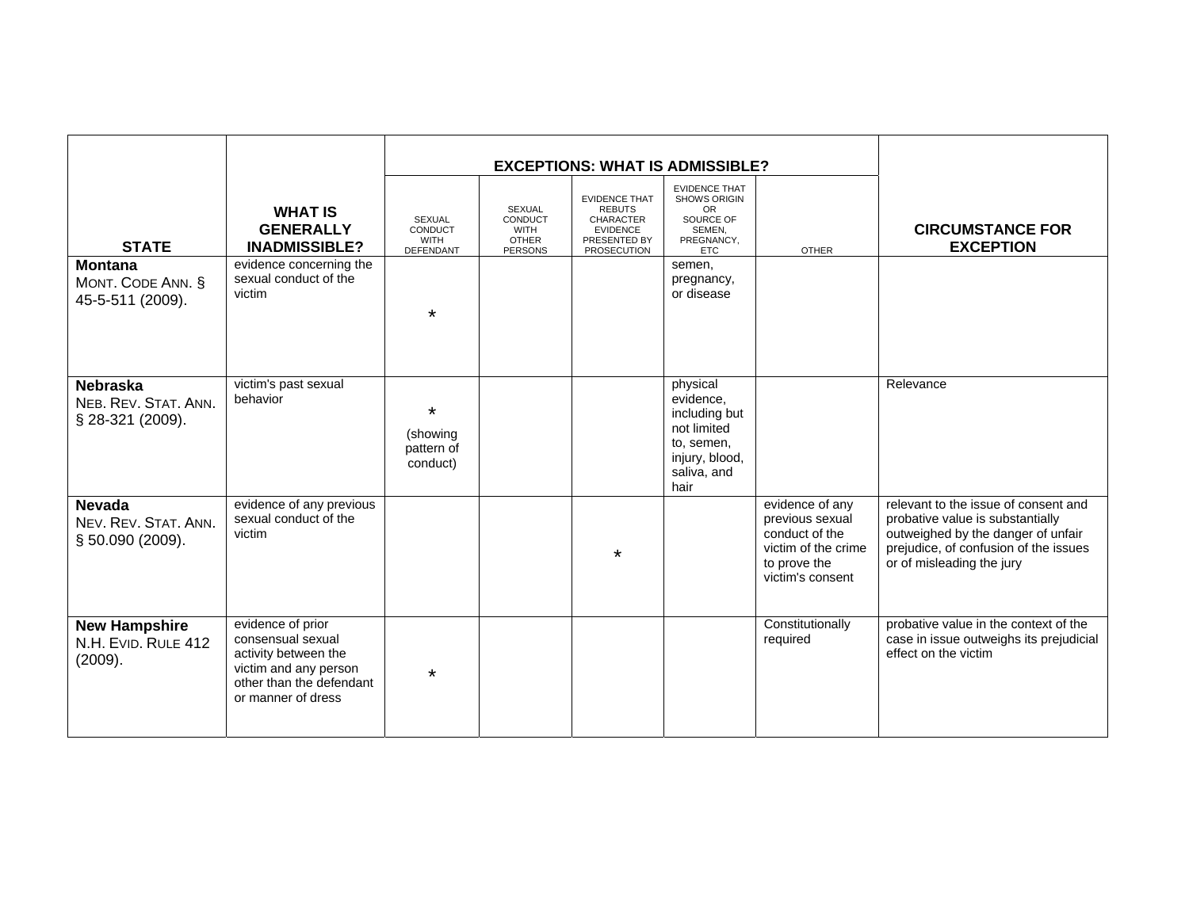| <b>STATE</b><br><b>Montana</b><br>MONT. CODE ANN. §<br>45-5-511 (2009). | <b>WHAT IS</b><br><b>GENERALLY</b><br><b>INADMISSIBLE?</b><br>evidence concerning the<br>sexual conduct of the<br>victim                  | <b>SEXUAL</b><br>CONDUCT<br><b>WITH</b><br>DEFENDANT | <b>SEXUAL</b><br>CONDUCT<br><b>WITH</b><br><b>OTHER</b><br><b>PERSONS</b> | <b>EVIDENCE THAT</b><br><b>REBUTS</b><br><b>CHARACTER</b><br><b>EVIDENCE</b><br>PRESENTED BY<br><b>PROSECUTION</b> | <b>EXCEPTIONS: WHAT IS ADMISSIBLE?</b><br><b>EVIDENCE THAT</b><br>SHOWS ORIGIN<br><b>OR</b><br>SOURCE OF<br>SEMEN.<br>PREGNANCY,<br><b>ETC</b><br>semen,<br>pregnancy,<br>or disease | <b>OTHER</b>                                                                                                    | <b>CIRCUMSTANCE FOR</b><br><b>EXCEPTION</b>                                                                                                                                          |
|-------------------------------------------------------------------------|-------------------------------------------------------------------------------------------------------------------------------------------|------------------------------------------------------|---------------------------------------------------------------------------|--------------------------------------------------------------------------------------------------------------------|--------------------------------------------------------------------------------------------------------------------------------------------------------------------------------------|-----------------------------------------------------------------------------------------------------------------|--------------------------------------------------------------------------------------------------------------------------------------------------------------------------------------|
|                                                                         |                                                                                                                                           | $\star$                                              |                                                                           |                                                                                                                    |                                                                                                                                                                                      |                                                                                                                 |                                                                                                                                                                                      |
| <b>Nebraska</b><br>NEB. REV. STAT. ANN.<br>§ 28-321 (2009).             | victim's past sexual<br>behavior                                                                                                          | $\star$<br>(showing<br>pattern of<br>conduct)        |                                                                           |                                                                                                                    | physical<br>evidence,<br>including but<br>not limited<br>to, semen,<br>injury, blood,<br>saliva, and<br>hair                                                                         |                                                                                                                 | Relevance                                                                                                                                                                            |
| <b>Nevada</b><br>NEV. REV. STAT. ANN.<br>§ 50.090 (2009).               | evidence of any previous<br>sexual conduct of the<br>victim                                                                               |                                                      |                                                                           | $\star$                                                                                                            |                                                                                                                                                                                      | evidence of any<br>previous sexual<br>conduct of the<br>victim of the crime<br>to prove the<br>victim's consent | relevant to the issue of consent and<br>probative value is substantially<br>outweighed by the danger of unfair<br>prejudice, of confusion of the issues<br>or of misleading the jury |
| <b>New Hampshire</b><br>N.H. EVID. RULE 412<br>(2009).                  | evidence of prior<br>consensual sexual<br>activity between the<br>victim and any person<br>other than the defendant<br>or manner of dress | $\star$                                              |                                                                           |                                                                                                                    |                                                                                                                                                                                      | Constitutionally<br>required                                                                                    | probative value in the context of the<br>case in issue outweighs its prejudicial<br>effect on the victim                                                                             |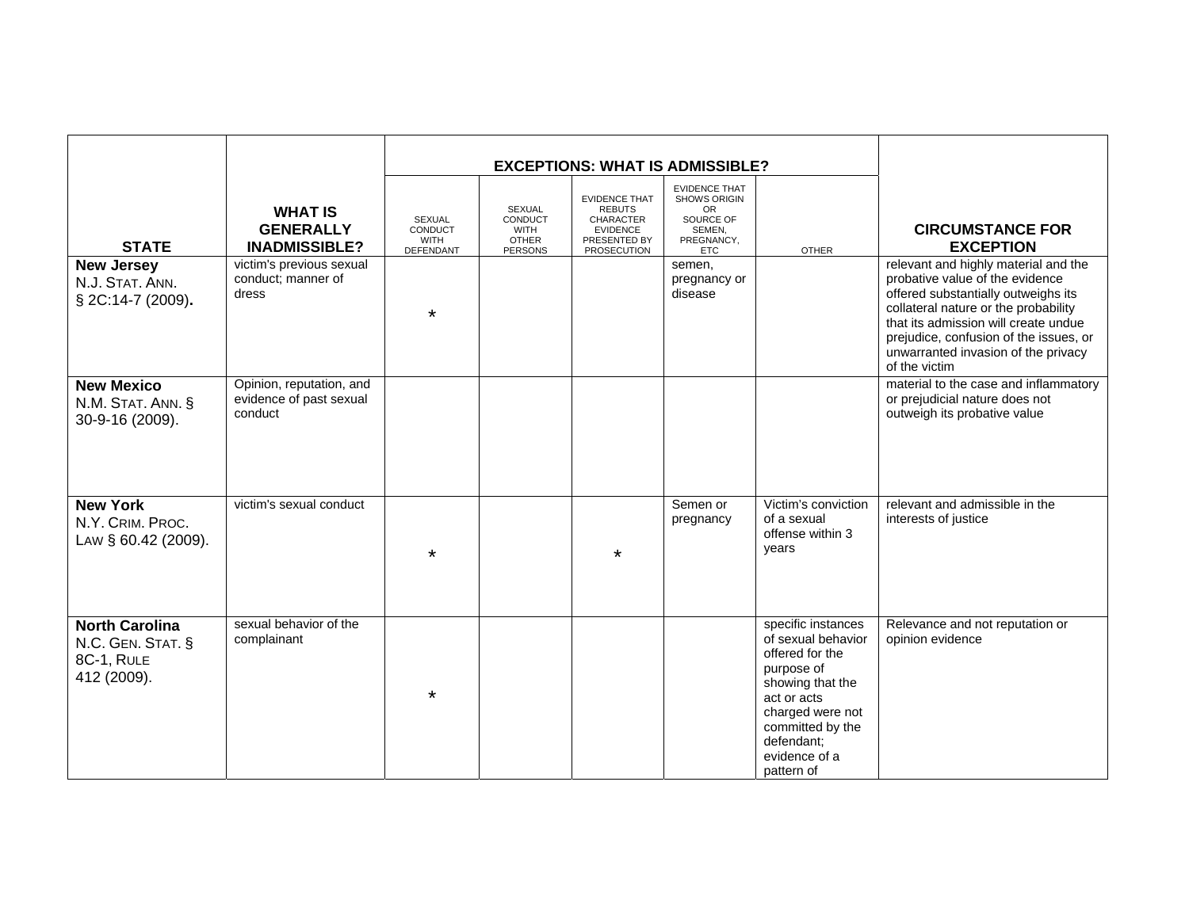|                                                                         |                                                                |                                                      |                                                                    | <b>EXCEPTIONS: WHAT IS ADMISSIBLE?</b>                                                                      |                                                                                               |                                                                                                                                                                                                   |                                                                                                                                                                                                                                                                                                  |
|-------------------------------------------------------------------------|----------------------------------------------------------------|------------------------------------------------------|--------------------------------------------------------------------|-------------------------------------------------------------------------------------------------------------|-----------------------------------------------------------------------------------------------|---------------------------------------------------------------------------------------------------------------------------------------------------------------------------------------------------|--------------------------------------------------------------------------------------------------------------------------------------------------------------------------------------------------------------------------------------------------------------------------------------------------|
| <b>STATE</b>                                                            | <b>WHAT IS</b><br><b>GENERALLY</b><br><b>INADMISSIBLE?</b>     | SEXUAL<br>CONDUCT<br><b>WITH</b><br><b>DEFENDANT</b> | SEXUAL<br>CONDUCT<br><b>WITH</b><br><b>OTHER</b><br><b>PERSONS</b> | <b>EVIDENCE THAT</b><br><b>REBUTS</b><br><b>CHARACTER</b><br><b>EVIDENCE</b><br>PRESENTED BY<br>PROSECUTION | <b>EVIDENCE THAT</b><br>SHOWS ORIGIN<br>OR<br>SOURCE OF<br>SEMEN,<br>PREGNANCY,<br><b>ETC</b> | <b>OTHER</b>                                                                                                                                                                                      | <b>CIRCUMSTANCE FOR</b><br><b>EXCEPTION</b>                                                                                                                                                                                                                                                      |
| <b>New Jersey</b><br>N.J. STAT. ANN.<br>§ 2C:14-7 (2009).               | victim's previous sexual<br>conduct; manner of<br>dress        | $\star$                                              |                                                                    |                                                                                                             | semen,<br>pregnancy or<br>disease                                                             |                                                                                                                                                                                                   | relevant and highly material and the<br>probative value of the evidence<br>offered substantially outweighs its<br>collateral nature or the probability<br>that its admission will create undue<br>prejudice, confusion of the issues, or<br>unwarranted invasion of the privacy<br>of the victim |
| <b>New Mexico</b><br>N.M. STAT. ANN. §<br>30-9-16 (2009).               | Opinion, reputation, and<br>evidence of past sexual<br>conduct |                                                      |                                                                    |                                                                                                             |                                                                                               |                                                                                                                                                                                                   | material to the case and inflammatory<br>or prejudicial nature does not<br>outweigh its probative value                                                                                                                                                                                          |
| <b>New York</b><br>N.Y. CRIM. PROC.<br>LAW § 60.42 (2009).              | victim's sexual conduct                                        | $\star$                                              |                                                                    | $\star$                                                                                                     | Semen or<br>pregnancy                                                                         | Victim's conviction<br>of a sexual<br>offense within 3<br>years                                                                                                                                   | relevant and admissible in the<br>interests of justice                                                                                                                                                                                                                                           |
| <b>North Carolina</b><br>N.C. GEN. STAT. §<br>8C-1, RULE<br>412 (2009). | sexual behavior of the<br>complainant                          | $\star$                                              |                                                                    |                                                                                                             |                                                                                               | specific instances<br>of sexual behavior<br>offered for the<br>purpose of<br>showing that the<br>act or acts<br>charged were not<br>committed by the<br>defendant;<br>evidence of a<br>pattern of | Relevance and not reputation or<br>opinion evidence                                                                                                                                                                                                                                              |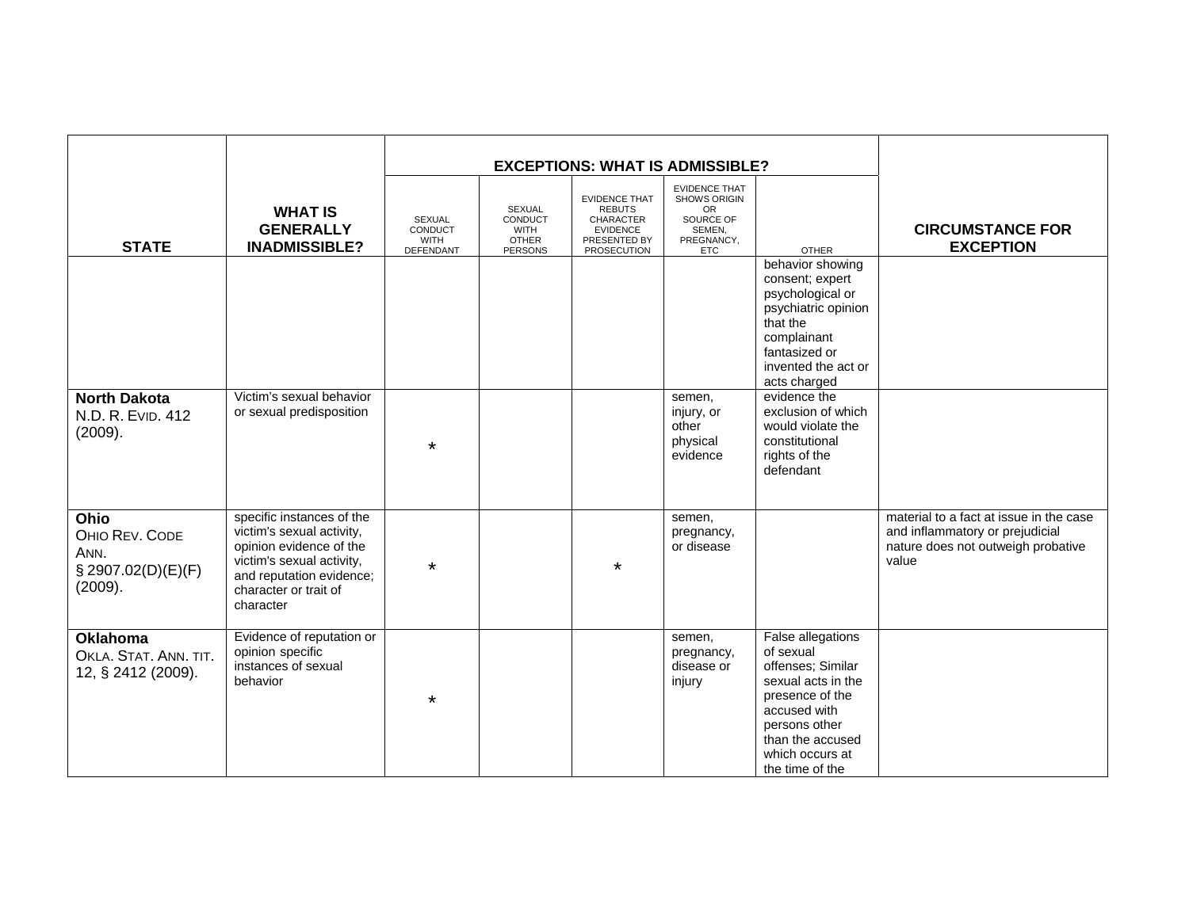|                                                                 |                                                                                                                                                                                  |                                                             |                                                                    | <b>EXCEPTIONS: WHAT IS ADMISSIBLE?</b>                                                               |                                                                                                      |                                                                                                                                                                                                |                                                                                                                           |
|-----------------------------------------------------------------|----------------------------------------------------------------------------------------------------------------------------------------------------------------------------------|-------------------------------------------------------------|--------------------------------------------------------------------|------------------------------------------------------------------------------------------------------|------------------------------------------------------------------------------------------------------|------------------------------------------------------------------------------------------------------------------------------------------------------------------------------------------------|---------------------------------------------------------------------------------------------------------------------------|
| <b>STATE</b>                                                    | <b>WHAT IS</b><br><b>GENERALLY</b><br><b>INADMISSIBLE?</b>                                                                                                                       | <b>SEXUAL</b><br>CONDUCT<br><b>WITH</b><br><b>DEFENDANT</b> | SEXUAL<br>CONDUCT<br><b>WITH</b><br><b>OTHER</b><br><b>PERSONS</b> | <b>EVIDENCE THAT</b><br><b>REBUTS</b><br>CHARACTER<br><b>EVIDENCE</b><br>PRESENTED BY<br>PROSECUTION | <b>EVIDENCE THAT</b><br>SHOWS ORIGIN<br><b>OR</b><br>SOURCE OF<br>SEMEN,<br>PREGNANCY,<br><b>ETC</b> | <b>OTHER</b>                                                                                                                                                                                   | <b>CIRCUMSTANCE FOR</b><br><b>EXCEPTION</b>                                                                               |
|                                                                 |                                                                                                                                                                                  |                                                             |                                                                    |                                                                                                      |                                                                                                      | behavior showing<br>consent; expert<br>psychological or<br>psychiatric opinion<br>that the<br>complainant<br>fantasized or<br>invented the act or<br>acts charged                              |                                                                                                                           |
| <b>North Dakota</b><br>N.D. R. EVID. 412<br>(2009).             | Victim's sexual behavior<br>or sexual predisposition                                                                                                                             | $\star$                                                     |                                                                    |                                                                                                      | semen,<br>injury, or<br>other<br>physical<br>evidence                                                | evidence the<br>exclusion of which<br>would violate the<br>constitutional<br>rights of the<br>defendant                                                                                        |                                                                                                                           |
| Ohio<br>OHIO REV. CODE<br>ANN.<br>§ 2907.02(D)(E)(F)<br>(2009). | specific instances of the<br>victim's sexual activity,<br>opinion evidence of the<br>victim's sexual activity,<br>and reputation evidence;<br>character or trait of<br>character | $\star$                                                     |                                                                    | $\star$                                                                                              | semen,<br>pregnancy,<br>or disease                                                                   |                                                                                                                                                                                                | material to a fact at issue in the case<br>and inflammatory or prejudicial<br>nature does not outweigh probative<br>value |
| <b>Oklahoma</b><br>OKLA. STAT. ANN. TIT.<br>12, § 2412 (2009).  | Evidence of reputation or<br>opinion specific<br>instances of sexual<br>behavior                                                                                                 | $\star$                                                     |                                                                    |                                                                                                      | semen,<br>pregnancy,<br>disease or<br>injury                                                         | <b>False allegations</b><br>of sexual<br>offenses; Similar<br>sexual acts in the<br>presence of the<br>accused with<br>persons other<br>than the accused<br>which occurs at<br>the time of the |                                                                                                                           |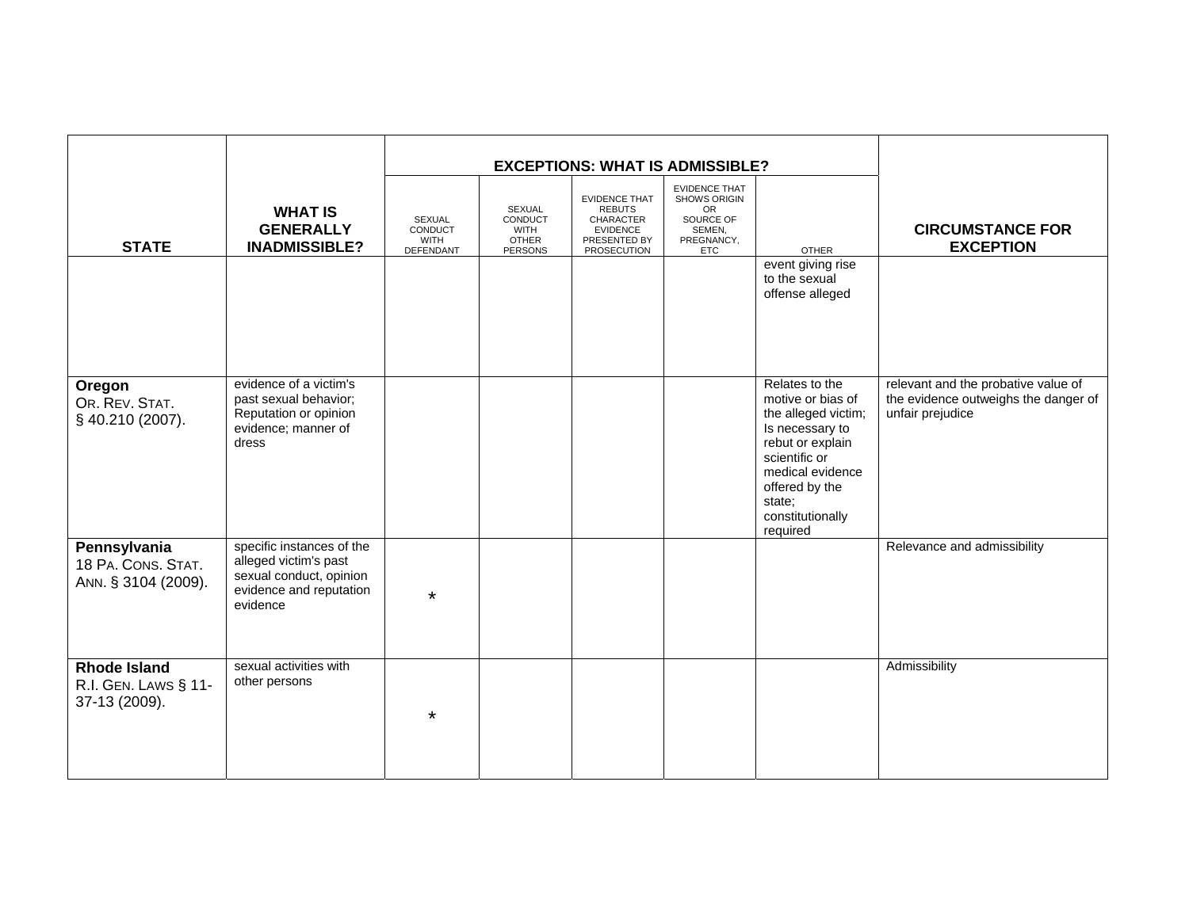|                                                              |                                                                                                                      |                                               | <b>EXCEPTIONS: WHAT IS ADMISSIBLE?</b>                      |                                                                                                             |                                                                                                             |                                                                                                                                                                                                    |                                                                                                 |
|--------------------------------------------------------------|----------------------------------------------------------------------------------------------------------------------|-----------------------------------------------|-------------------------------------------------------------|-------------------------------------------------------------------------------------------------------------|-------------------------------------------------------------------------------------------------------------|----------------------------------------------------------------------------------------------------------------------------------------------------------------------------------------------------|-------------------------------------------------------------------------------------------------|
| <b>STATE</b>                                                 | <b>WHAT IS</b><br><b>GENERALLY</b><br><b>INADMISSIBLE?</b>                                                           | SEXUAL<br>CONDUCT<br><b>WITH</b><br>DEFENDANT | SEXUAL<br>CONDUCT<br><b>WITH</b><br><b>OTHER</b><br>PERSONS | <b>EVIDENCE THAT</b><br><b>REBUTS</b><br>CHARACTER<br><b>EVIDENCE</b><br>PRESENTED BY<br><b>PROSECUTION</b> | <b>EVIDENCE THAT</b><br><b>SHOWS ORIGIN</b><br><b>OR</b><br>SOURCE OF<br>SEMEN,<br>PREGNANCY,<br><b>ETC</b> | <b>OTHER</b>                                                                                                                                                                                       | <b>CIRCUMSTANCE FOR</b><br><b>EXCEPTION</b>                                                     |
|                                                              |                                                                                                                      |                                               |                                                             |                                                                                                             |                                                                                                             | event giving rise<br>to the sexual<br>offense alleged                                                                                                                                              |                                                                                                 |
| Oregon<br>OR. REV. STAT.<br>§ 40.210 (2007).                 | evidence of a victim's<br>past sexual behavior;<br>Reputation or opinion<br>evidence; manner of<br>dress             |                                               |                                                             |                                                                                                             |                                                                                                             | Relates to the<br>motive or bias of<br>the alleged victim;<br>Is necessary to<br>rebut or explain<br>scientific or<br>medical evidence<br>offered by the<br>state;<br>constitutionally<br>required | relevant and the probative value of<br>the evidence outweighs the danger of<br>unfair prejudice |
| Pennsylvania<br>18 PA. CONS. STAT.<br>ANN. § 3104 (2009).    | specific instances of the<br>alleged victim's past<br>sexual conduct, opinion<br>evidence and reputation<br>evidence | $\star$                                       |                                                             |                                                                                                             |                                                                                                             |                                                                                                                                                                                                    | Relevance and admissibility                                                                     |
| <b>Rhode Island</b><br>R.I. GEN. LAWS § 11-<br>37-13 (2009). | sexual activities with<br>other persons                                                                              | *                                             |                                                             |                                                                                                             |                                                                                                             |                                                                                                                                                                                                    | Admissibility                                                                                   |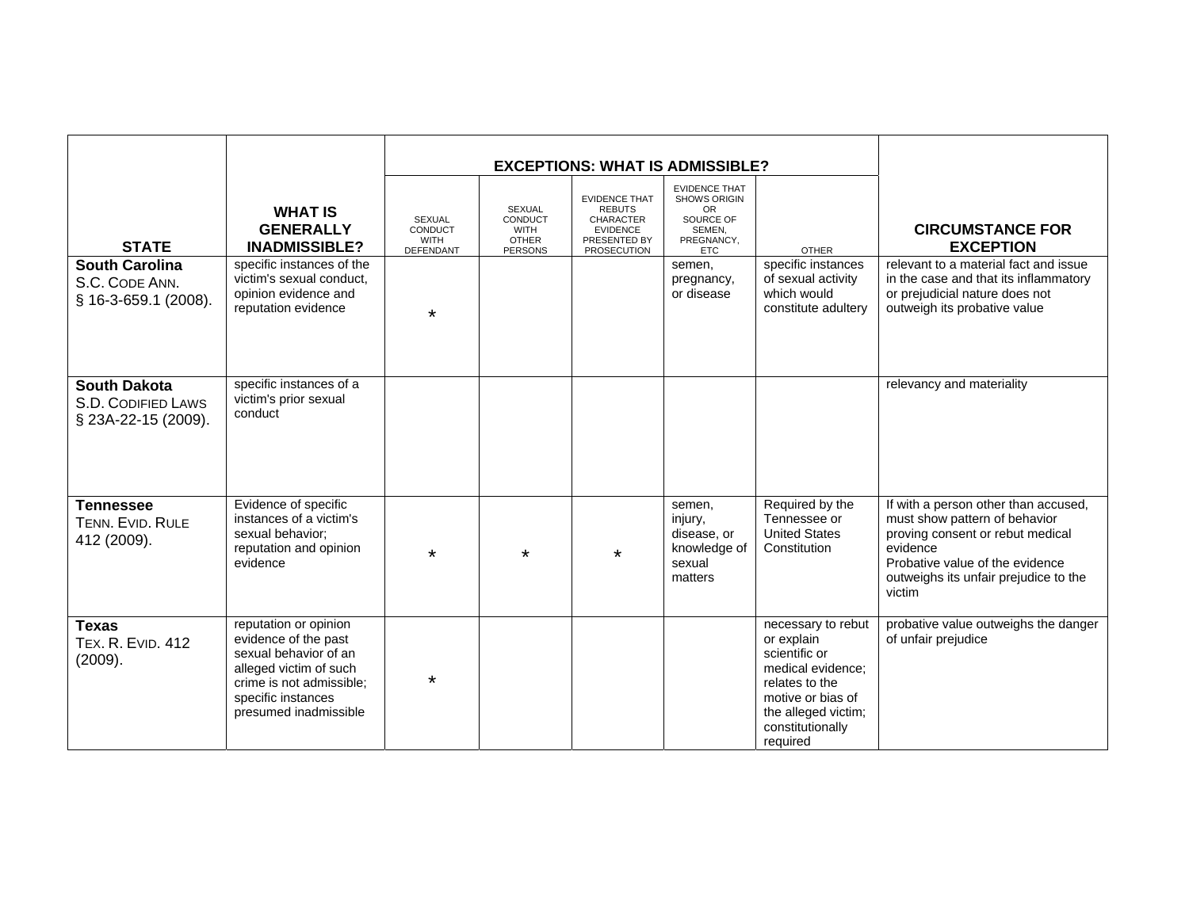|                                                                  |                                                                                                                                                                             |                                                             | <b>EXCEPTIONS: WHAT IS ADMISSIBLE?</b>                             |                                                                                                                    |                                                                                                       |                                                                                                                                                                      |                                                                                                                                                                                                             |
|------------------------------------------------------------------|-----------------------------------------------------------------------------------------------------------------------------------------------------------------------------|-------------------------------------------------------------|--------------------------------------------------------------------|--------------------------------------------------------------------------------------------------------------------|-------------------------------------------------------------------------------------------------------|----------------------------------------------------------------------------------------------------------------------------------------------------------------------|-------------------------------------------------------------------------------------------------------------------------------------------------------------------------------------------------------------|
| <b>STATE</b>                                                     | <b>WHAT IS</b><br><b>GENERALLY</b><br><b>INADMISSIBLE?</b>                                                                                                                  | <b>SEXUAL</b><br>CONDUCT<br><b>WITH</b><br><b>DEFENDANT</b> | SEXUAL<br>CONDUCT<br><b>WITH</b><br><b>OTHER</b><br><b>PERSONS</b> | <b>EVIDENCE THAT</b><br><b>REBUTS</b><br><b>CHARACTER</b><br><b>EVIDENCE</b><br>PRESENTED BY<br><b>PROSECUTION</b> | <b>EVIDENCE THAT</b><br><b>SHOWS ORIGIN</b><br>OR.<br>SOURCE OF<br>SEMEN,<br>PREGNANCY.<br><b>ETC</b> | <b>OTHER</b>                                                                                                                                                         | <b>CIRCUMSTANCE FOR</b><br><b>EXCEPTION</b>                                                                                                                                                                 |
| <b>South Carolina</b><br>S.C. CODE ANN.<br>§ 16-3-659.1 (2008).  | specific instances of the<br>victim's sexual conduct,<br>opinion evidence and<br>reputation evidence                                                                        | $\star$                                                     |                                                                    |                                                                                                                    | semen,<br>pregnancy,<br>or disease                                                                    | specific instances<br>of sexual activity<br>which would<br>constitute adultery                                                                                       | relevant to a material fact and issue<br>in the case and that its inflammatory<br>or prejudicial nature does not<br>outweigh its probative value                                                            |
| <b>South Dakota</b><br>S.D. CODIFIED LAWS<br>§ 23A-22-15 (2009). | specific instances of a<br>victim's prior sexual<br>conduct                                                                                                                 |                                                             |                                                                    |                                                                                                                    |                                                                                                       |                                                                                                                                                                      | relevancy and materiality                                                                                                                                                                                   |
| <b>Tennessee</b><br>TENN. EVID. RULE<br>412 (2009).              | Evidence of specific<br>instances of a victim's<br>sexual behavior:<br>reputation and opinion<br>evidence                                                                   | $\star$                                                     | $\star$                                                            | $\star$                                                                                                            | semen,<br>injury,<br>disease, or<br>knowledge of<br>sexual<br>matters                                 | Required by the<br>Tennessee or<br><b>United States</b><br>Constitution                                                                                              | If with a person other than accused,<br>must show pattern of behavior<br>proving consent or rebut medical<br>evidence<br>Probative value of the evidence<br>outweighs its unfair prejudice to the<br>victim |
| <b>Texas</b><br><b>TEX. R. EVID. 412</b><br>(2009).              | reputation or opinion<br>evidence of the past<br>sexual behavior of an<br>alleged victim of such<br>crime is not admissible:<br>specific instances<br>presumed inadmissible | $\star$                                                     |                                                                    |                                                                                                                    |                                                                                                       | necessary to rebut<br>or explain<br>scientific or<br>medical evidence:<br>relates to the<br>motive or bias of<br>the alleged victim;<br>constitutionally<br>required | probative value outweighs the danger<br>of unfair prejudice                                                                                                                                                 |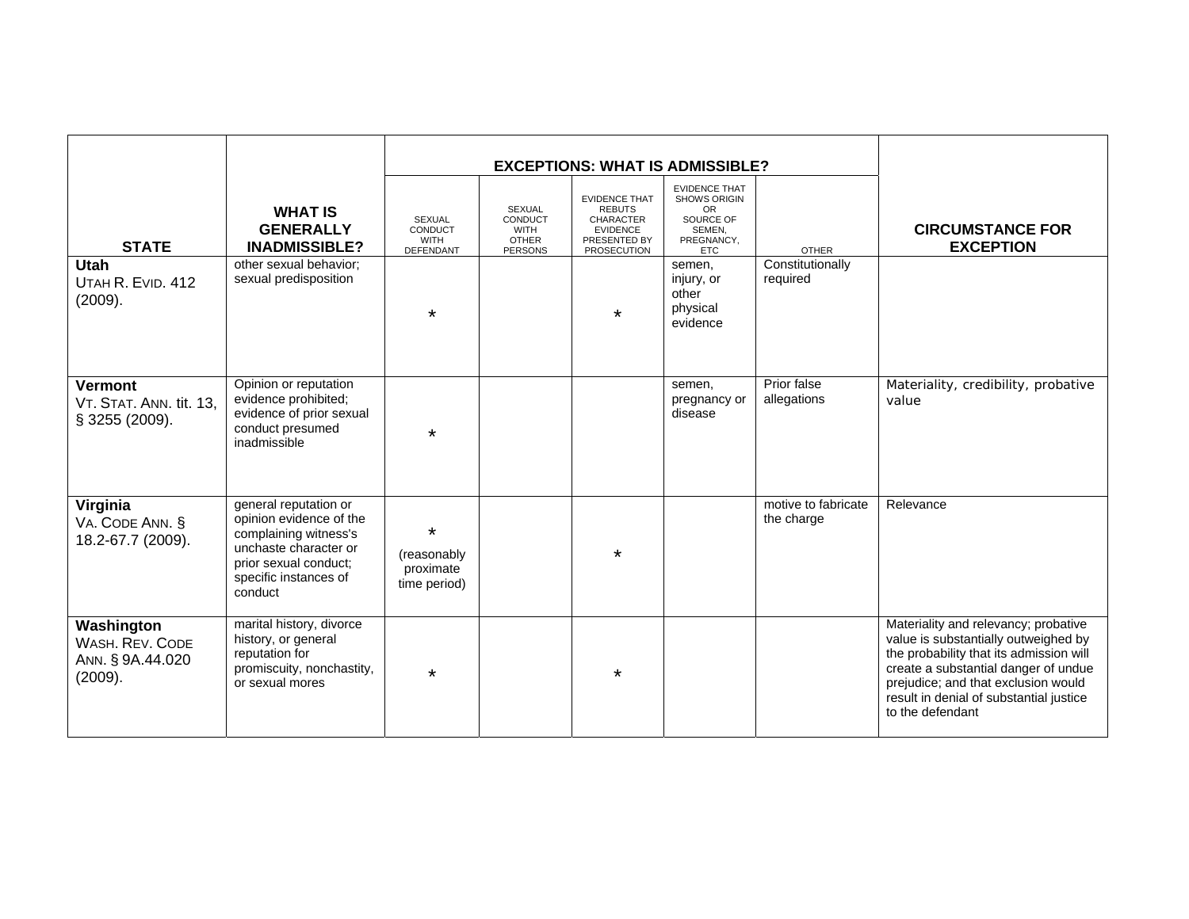| <b>STATE</b><br><b>Utah</b><br>UTAH R. EVID. 412<br>(2009).  | <b>WHAT IS</b><br><b>GENERALLY</b><br><b>INADMISSIBLE?</b><br>other sexual behavior;<br>sexual predisposition                                                   | SEXUAL<br>CONDUCT<br><b>WITH</b><br><b>DEFENDANT</b><br>$\star$ | SEXUAL<br>CONDUCT<br><b>WITH</b><br><b>OTHER</b><br><b>PERSONS</b> | <b>EVIDENCE THAT</b><br><b>REBUTS</b><br><b>CHARACTER</b><br><b>EVIDENCE</b><br>PRESENTED BY<br><b>PROSECUTION</b><br>$\star$ | <b>EXCEPTIONS: WHAT IS ADMISSIBLE?</b><br><b>EVIDENCE THAT</b><br>SHOWS ORIGIN<br><b>OR</b><br>SOURCE OF<br>SEMEN,<br>PREGNANCY,<br><b>ETC</b><br>semen,<br>injury, or<br>other<br>physical | <b>OTHER</b><br>Constitutionally<br>required | <b>CIRCUMSTANCE FOR</b><br><b>EXCEPTION</b>                                                                                                                                                                                                                           |
|--------------------------------------------------------------|-----------------------------------------------------------------------------------------------------------------------------------------------------------------|-----------------------------------------------------------------|--------------------------------------------------------------------|-------------------------------------------------------------------------------------------------------------------------------|---------------------------------------------------------------------------------------------------------------------------------------------------------------------------------------------|----------------------------------------------|-----------------------------------------------------------------------------------------------------------------------------------------------------------------------------------------------------------------------------------------------------------------------|
| <b>Vermont</b><br>VT. STAT. ANN. tit. 13,<br>§ 3255 (2009).  | Opinion or reputation<br>evidence prohibited;<br>evidence of prior sexual<br>conduct presumed<br>inadmissible                                                   | $\star$                                                         |                                                                    |                                                                                                                               | evidence<br>semen,<br>pregnancy or<br>disease                                                                                                                                               | Prior false<br>allegations                   | Materiality, credibility, probative<br>value                                                                                                                                                                                                                          |
| Virginia<br>VA. CODE ANN. §<br>18.2-67.7 (2009).             | general reputation or<br>opinion evidence of the<br>complaining witness's<br>unchaste character or<br>prior sexual conduct;<br>specific instances of<br>conduct | $\star$<br>(reasonably<br>proximate<br>time period)             |                                                                    | $\star$                                                                                                                       |                                                                                                                                                                                             | motive to fabricate<br>the charge            | Relevance                                                                                                                                                                                                                                                             |
| Washington<br>WASH, REV. CODE<br>ANN. § 9A.44.020<br>(2009). | marital history, divorce<br>history, or general<br>reputation for<br>promiscuity, nonchastity,<br>or sexual mores                                               | $\star$                                                         |                                                                    | $\star$                                                                                                                       |                                                                                                                                                                                             |                                              | Materiality and relevancy; probative<br>value is substantially outweighed by<br>the probability that its admission will<br>create a substantial danger of undue<br>prejudice; and that exclusion would<br>result in denial of substantial justice<br>to the defendant |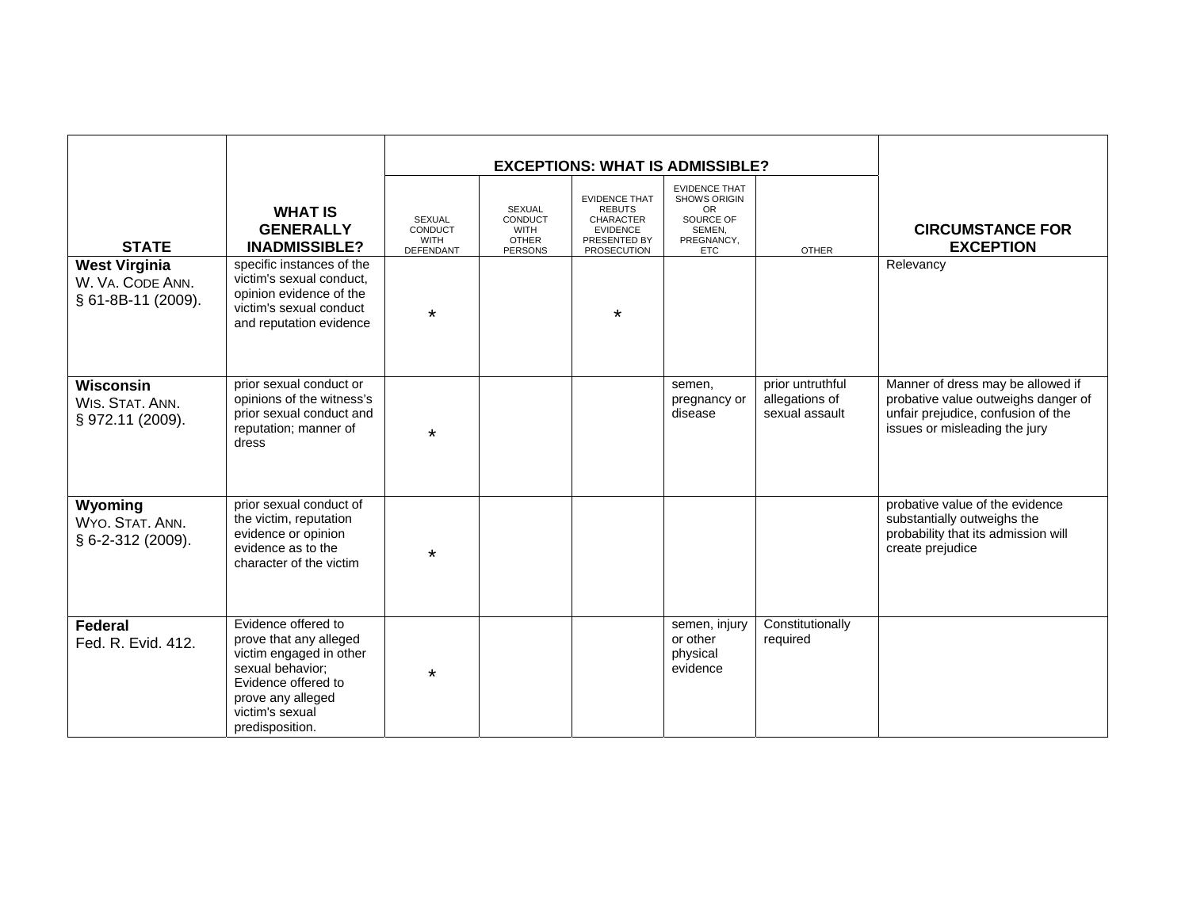|                                                                |                                                                                                                                                                                |                                                      | <b>EXCEPTIONS: WHAT IS ADMISSIBLE?</b>                             |                                                                                                                    |                                                                                                      |                                                      |                                                                                                                                                 |
|----------------------------------------------------------------|--------------------------------------------------------------------------------------------------------------------------------------------------------------------------------|------------------------------------------------------|--------------------------------------------------------------------|--------------------------------------------------------------------------------------------------------------------|------------------------------------------------------------------------------------------------------|------------------------------------------------------|-------------------------------------------------------------------------------------------------------------------------------------------------|
| <b>STATE</b>                                                   | <b>WHAT IS</b><br><b>GENERALLY</b><br><b>INADMISSIBLE?</b>                                                                                                                     | <b>SEXUAL</b><br>CONDUCT<br><b>WITH</b><br>DEFENDANT | SEXUAL<br>CONDUCT<br><b>WITH</b><br><b>OTHER</b><br><b>PERSONS</b> | <b>EVIDENCE THAT</b><br><b>REBUTS</b><br><b>CHARACTER</b><br><b>EVIDENCE</b><br>PRESENTED BY<br><b>PROSECUTION</b> | <b>EVIDENCE THAT</b><br>SHOWS ORIGIN<br><b>OR</b><br>SOURCE OF<br>SEMEN,<br>PREGNANCY,<br><b>ETC</b> | <b>OTHER</b>                                         | <b>CIRCUMSTANCE FOR</b><br><b>EXCEPTION</b>                                                                                                     |
| <b>West Virginia</b><br>W. VA. CODE ANN.<br>§ 61-8B-11 (2009). | specific instances of the<br>victim's sexual conduct,<br>opinion evidence of the<br>victim's sexual conduct<br>and reputation evidence                                         | $\star$                                              |                                                                    | $\star$                                                                                                            |                                                                                                      |                                                      | Relevancy                                                                                                                                       |
| <b>Wisconsin</b><br>WIS. STAT. ANN.<br>§ 972.11 (2009).        | prior sexual conduct or<br>opinions of the witness's<br>prior sexual conduct and<br>reputation; manner of<br>dress                                                             | $\star$                                              |                                                                    |                                                                                                                    | semen,<br>pregnancy or<br>disease                                                                    | prior untruthful<br>allegations of<br>sexual assault | Manner of dress may be allowed if<br>probative value outweighs danger of<br>unfair prejudice, confusion of the<br>issues or misleading the jury |
| Wyoming<br>WYO. STAT. ANN.<br>§ 6-2-312 (2009).                | prior sexual conduct of<br>the victim, reputation<br>evidence or opinion<br>evidence as to the<br>character of the victim                                                      | $\star$                                              |                                                                    |                                                                                                                    |                                                                                                      |                                                      | probative value of the evidence<br>substantially outweighs the<br>probability that its admission will<br>create prejudice                       |
| Federal<br>Fed. R. Evid. 412.                                  | Evidence offered to<br>prove that any alleged<br>victim engaged in other<br>sexual behavior;<br>Evidence offered to<br>prove any alleged<br>victim's sexual<br>predisposition. | $\star$                                              |                                                                    |                                                                                                                    | semen, injury<br>or other<br>physical<br>evidence                                                    | Constitutionally<br>required                         |                                                                                                                                                 |